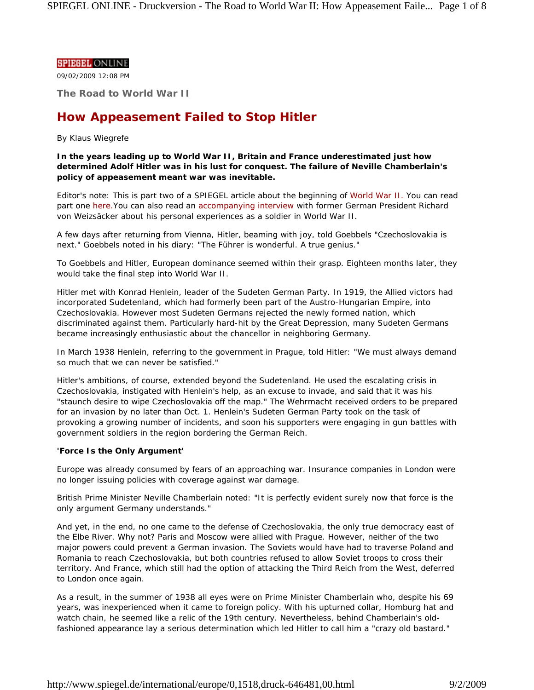## **SPIEGEL ONLINE**

09/02/2009 12:08 PM

**The Road to World War II**

# **How Appeasement Failed to Stop Hitler**

## *By Klaus Wiegrefe*

**In the years leading up to World War II, Britain and France underestimated just how determined Adolf Hitler was in his lust for conquest. The failure of Neville Chamberlain's policy of appeasement meant war was inevitable.**

*Editor's note: This is part two of a SPIEGEL article about the beginning of World War II. You can read part one here.You can also read an accompanying interview with former German President Richard von Weizsäcker about his personal experiences as a soldier in World War II.*

A few days after returning from Vienna, Hitler, beaming with joy, told Goebbels "Czechoslovakia is next." Goebbels noted in his diary: "The Führer is wonderful. A true genius."

To Goebbels and Hitler, European dominance seemed within their grasp. Eighteen months later, they would take the final step into World War II.

Hitler met with Konrad Henlein, leader of the Sudeten German Party. In 1919, the Allied victors had incorporated Sudetenland, which had formerly been part of the Austro-Hungarian Empire, into Czechoslovakia. However most Sudeten Germans rejected the newly formed nation, which discriminated against them. Particularly hard-hit by the Great Depression, many Sudeten Germans became increasingly enthusiastic about the chancellor in neighboring Germany.

In March 1938 Henlein, referring to the government in Prague, told Hitler: "We must always demand so much that we can never be satisfied."

Hitler's ambitions, of course, extended beyond the Sudetenland. He used the escalating crisis in Czechoslovakia, instigated with Henlein's help, as an excuse to invade, and said that it was his "staunch desire to wipe Czechoslovakia off the map." The Wehrmacht received orders to be prepared for an invasion by no later than Oct. 1. Henlein's Sudeten German Party took on the task of provoking a growing number of incidents, and soon his supporters were engaging in gun battles with government soldiers in the region bordering the German Reich.

# **'Force Is the Only Argument'**

Europe was already consumed by fears of an approaching war. Insurance companies in London were no longer issuing policies with coverage against war damage.

British Prime Minister Neville Chamberlain noted: "It is perfectly evident surely now that force is the only argument Germany understands."

And yet, in the end, no one came to the defense of Czechoslovakia, the only true democracy east of the Elbe River. Why not? Paris and Moscow were allied with Prague. However, neither of the two major powers could prevent a German invasion. The Soviets would have had to traverse Poland and Romania to reach Czechoslovakia, but both countries refused to allow Soviet troops to cross their territory. And France, which still had the option of attacking the Third Reich from the West, deferred to London once again.

As a result, in the summer of 1938 all eyes were on Prime Minister Chamberlain who, despite his 69 years, was inexperienced when it came to foreign policy. With his upturned collar, Homburg hat and watch chain, he seemed like a relic of the 19th century. Nevertheless, behind Chamberlain's oldfashioned appearance lay a serious determination which led Hitler to call him a "crazy old bastard."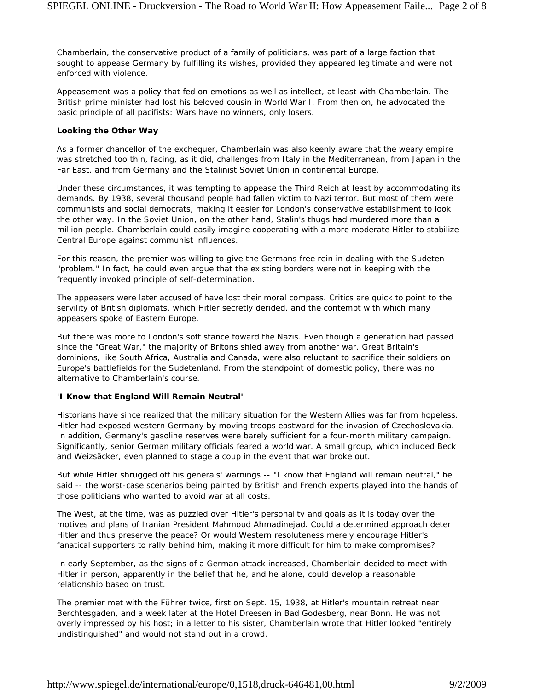Chamberlain, the conservative product of a family of politicians, was part of a large faction that sought to appease Germany by fulfilling its wishes, provided they appeared legitimate and were not enforced with violence.

Appeasement was a policy that fed on emotions as well as intellect, at least with Chamberlain. The British prime minister had lost his beloved cousin in World War I. From then on, he advocated the basic principle of all pacifists: Wars have no winners, only losers.

#### **Looking the Other Way**

As a former chancellor of the exchequer, Chamberlain was also keenly aware that the weary empire was stretched too thin, facing, as it did, challenges from Italy in the Mediterranean, from Japan in the Far East, and from Germany and the Stalinist Soviet Union in continental Europe.

Under these circumstances, it was tempting to appease the Third Reich at least by accommodating its demands. By 1938, several thousand people had fallen victim to Nazi terror. But most of them were communists and social democrats, making it easier for London's conservative establishment to look the other way. In the Soviet Union, on the other hand, Stalin's thugs had murdered more than a million people. Chamberlain could easily imagine cooperating with a more moderate Hitler to stabilize Central Europe against communist influences.

For this reason, the premier was willing to give the Germans free rein in dealing with the Sudeten "problem." In fact, he could even argue that the existing borders were not in keeping with the frequently invoked principle of self-determination.

The appeasers were later accused of have lost their moral compass. Critics are quick to point to the servility of British diplomats, which Hitler secretly derided, and the contempt with which many appeasers spoke of Eastern Europe.

But there was more to London's soft stance toward the Nazis. Even though a generation had passed since the "Great War," the majority of Britons shied away from another war. Great Britain's dominions, like South Africa, Australia and Canada, were also reluctant to sacrifice their soldiers on Europe's battlefields for the Sudetenland. From the standpoint of domestic policy, there was no alternative to Chamberlain's course.

#### **'I Know that England Will Remain Neutral'**

Historians have since realized that the military situation for the Western Allies was far from hopeless. Hitler had exposed western Germany by moving troops eastward for the invasion of Czechoslovakia. In addition, Germany's gasoline reserves were barely sufficient for a four-month military campaign. Significantly, senior German military officials feared a world war. A small group, which included Beck and Weizsäcker, even planned to stage a coup in the event that war broke out.

But while Hitler shrugged off his generals' warnings -- "I know that England will remain neutral," he said -- the worst-case scenarios being painted by British and French experts played into the hands of those politicians who wanted to avoid war at all costs.

The West, at the time, was as puzzled over Hitler's personality and goals as it is today over the motives and plans of Iranian President Mahmoud Ahmadinejad. Could a determined approach deter Hitler and thus preserve the peace? Or would Western resoluteness merely encourage Hitler's fanatical supporters to rally behind him, making it more difficult for him to make compromises?

In early September, as the signs of a German attack increased, Chamberlain decided to meet with Hitler in person, apparently in the belief that he, and he alone, could develop a reasonable relationship based on trust.

The premier met with the Führer twice, first on Sept. 15, 1938, at Hitler's mountain retreat near Berchtesgaden, and a week later at the Hotel Dreesen in Bad Godesberg, near Bonn. He was not overly impressed by his host; in a letter to his sister, Chamberlain wrote that Hitler looked "entirely undistinguished" and would not stand out in a crowd.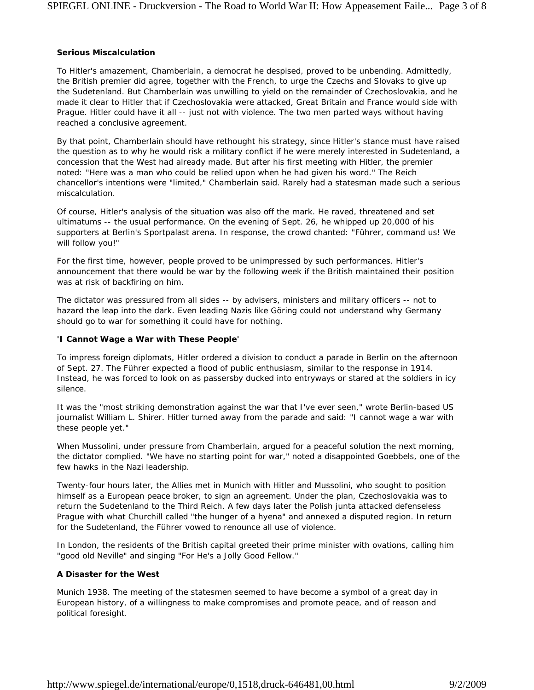#### **Serious Miscalculation**

To Hitler's amazement, Chamberlain, a democrat he despised, proved to be unbending. Admittedly, the British premier did agree, together with the French, to urge the Czechs and Slovaks to give up the Sudetenland. But Chamberlain was unwilling to yield on the remainder of Czechoslovakia, and he made it clear to Hitler that if Czechoslovakia were attacked, Great Britain and France would side with Prague. Hitler could have it all -- just not with violence. The two men parted ways without having reached a conclusive agreement.

By that point, Chamberlain should have rethought his strategy, since Hitler's stance must have raised the question as to why he would risk a military conflict if he were merely interested in Sudetenland, a concession that the West had already made. But after his first meeting with Hitler, the premier noted: "Here was a man who could be relied upon when he had given his word." The Reich chancellor's intentions were "limited," Chamberlain said. Rarely had a statesman made such a serious miscalculation.

Of course, Hitler's analysis of the situation was also off the mark. He raved, threatened and set ultimatums -- the usual performance. On the evening of Sept. 26, he whipped up 20,000 of his supporters at Berlin's Sportpalast arena. In response, the crowd chanted: "Führer, command us! We will follow you!"

For the first time, however, people proved to be unimpressed by such performances. Hitler's announcement that there would be war by the following week if the British maintained their position was at risk of backfiring on him.

The dictator was pressured from all sides -- by advisers, ministers and military officers -- not to hazard the leap into the dark. Even leading Nazis like Göring could not understand why Germany should go to war for something it could have for nothing.

## **'I Cannot Wage a War with These People'**

To impress foreign diplomats, Hitler ordered a division to conduct a parade in Berlin on the afternoon of Sept. 27. The Führer expected a flood of public enthusiasm, similar to the response in 1914. Instead, he was forced to look on as passersby ducked into entryways or stared at the soldiers in icy silence.

It was the "most striking demonstration against the war that I've ever seen," wrote Berlin-based US journalist William L. Shirer. Hitler turned away from the parade and said: "I cannot wage a war with these people yet."

When Mussolini, under pressure from Chamberlain, argued for a peaceful solution the next morning, the dictator complied. "We have no starting point for war," noted a disappointed Goebbels, one of the few hawks in the Nazi leadership.

Twenty-four hours later, the Allies met in Munich with Hitler and Mussolini, who sought to position himself as a European peace broker, to sign an agreement. Under the plan, Czechoslovakia was to return the Sudetenland to the Third Reich. A few days later the Polish junta attacked defenseless Prague with what Churchill called "the hunger of a hyena" and annexed a disputed region. In return for the Sudetenland, the Führer vowed to renounce all use of violence.

In London, the residents of the British capital greeted their prime minister with ovations, calling him "good old Neville" and singing "For He's a Jolly Good Fellow."

# **A Disaster for the West**

Munich 1938. The meeting of the statesmen seemed to have become a symbol of a great day in European history, of a willingness to make compromises and promote peace, and of reason and political foresight.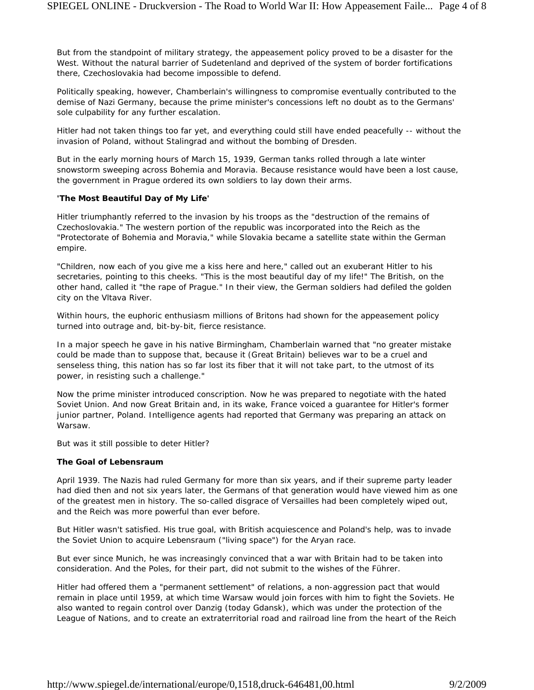But from the standpoint of military strategy, the appeasement policy proved to be a disaster for the West. Without the natural barrier of Sudetenland and deprived of the system of border fortifications there, Czechoslovakia had become impossible to defend.

Politically speaking, however, Chamberlain's willingness to compromise eventually contributed to the demise of Nazi Germany, because the prime minister's concessions left no doubt as to the Germans' sole culpability for any further escalation.

Hitler had not taken things too far yet, and everything could still have ended peacefully -- without the invasion of Poland, without Stalingrad and without the bombing of Dresden.

But in the early morning hours of March 15, 1939, German tanks rolled through a late winter snowstorm sweeping across Bohemia and Moravia. Because resistance would have been a lost cause, the government in Prague ordered its own soldiers to lay down their arms.

## **'The Most Beautiful Day of My Life'**

Hitler triumphantly referred to the invasion by his troops as the "destruction of the remains of Czechoslovakia." The western portion of the republic was incorporated into the Reich as the "Protectorate of Bohemia and Moravia," while Slovakia became a satellite state within the German empire.

"Children, now each of you give me a kiss here and here," called out an exuberant Hitler to his secretaries, pointing to this cheeks. "This is the most beautiful day of my life!" The British, on the other hand, called it "the rape of Prague." In their view, the German soldiers had defiled the golden city on the Vltava River.

Within hours, the euphoric enthusiasm millions of Britons had shown for the appeasement policy turned into outrage and, bit-by-bit, fierce resistance.

In a major speech he gave in his native Birmingham, Chamberlain warned that "no greater mistake could be made than to suppose that, because it (Great Britain) believes war to be a cruel and senseless thing, this nation has so far lost its fiber that it will not take part, to the utmost of its power, in resisting such a challenge."

Now the prime minister introduced conscription. Now he was prepared to negotiate with the hated Soviet Union. And now Great Britain and, in its wake, France voiced a guarantee for Hitler's former junior partner, Poland. Intelligence agents had reported that Germany was preparing an attack on Warsaw.

But was it still possible to deter Hitler?

# **The Goal of Lebensraum**

April 1939. The Nazis had ruled Germany for more than six years, and if their supreme party leader had died then and not six years later, the Germans of that generation would have viewed him as one of the greatest men in history. The so-called disgrace of Versailles had been completely wiped out, and the Reich was more powerful than ever before.

But Hitler wasn't satisfied. His true goal, with British acquiescence and Poland's help, was to invade the Soviet Union to acquire *Lebensraum* ("living space") for the Aryan race.

But ever since Munich, he was increasingly convinced that a war with Britain had to be taken into consideration. And the Poles, for their part, did not submit to the wishes of the Führer.

Hitler had offered them a "permanent settlement" of relations, a non-aggression pact that would remain in place until 1959, at which time Warsaw would join forces with him to fight the Soviets. He also wanted to regain control over Danzig (today Gdansk), which was under the protection of the League of Nations, and to create an extraterritorial road and railroad line from the heart of the Reich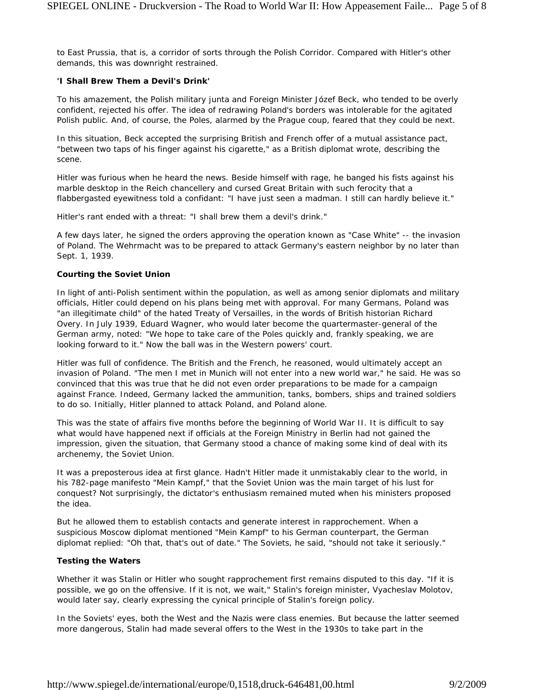to East Prussia, that is, a corridor of sorts through the Polish Corridor. Compared with Hitler's other demands, this was downright restrained.

## **'I Shall Brew Them a Devil's Drink'**

To his amazement, the Polish military junta and Foreign Minister Józef Beck, who tended to be overly confident, rejected his offer. The idea of redrawing Poland's borders was intolerable for the agitated Polish public. And, of course, the Poles, alarmed by the Prague coup, feared that they could be next.

In this situation, Beck accepted the surprising British and French offer of a mutual assistance pact, "between two taps of his finger against his cigarette," as a British diplomat wrote, describing the scene.

Hitler was furious when he heard the news. Beside himself with rage, he banged his fists against his marble desktop in the Reich chancellery and cursed Great Britain with such ferocity that a flabbergasted eyewitness told a confidant: "I have just seen a madman. I still can hardly believe it."

Hitler's rant ended with a threat: "I shall brew them a devil's drink."

A few days later, he signed the orders approving the operation known as "Case White" -- the invasion of Poland. The Wehrmacht was to be prepared to attack Germany's eastern neighbor by no later than Sept. 1, 1939.

## **Courting the Soviet Union**

In light of anti-Polish sentiment within the population, as well as among senior diplomats and military officials, Hitler could depend on his plans being met with approval. For many Germans, Poland was "an illegitimate child" of the hated Treaty of Versailles, in the words of British historian Richard Overy. In July 1939, Eduard Wagner, who would later become the quartermaster-general of the German army, noted: "We hope to take care of the Poles quickly and, frankly speaking, we are looking forward to it." Now the ball was in the Western powers' court.

Hitler was full of confidence. The British and the French, he reasoned, would ultimately accept an invasion of Poland. "The men I met in Munich will not enter into a new world war," he said. He was so convinced that this was true that he did not even order preparations to be made for a campaign against France. Indeed, Germany lacked the ammunition, tanks, bombers, ships and trained soldiers to do so. Initially, Hitler planned to attack Poland, and Poland alone.

This was the state of affairs five months before the beginning of World War II. It is difficult to say what would have happened next if officials at the Foreign Ministry in Berlin had not gained the impression, given the situation, that Germany stood a chance of making some kind of deal with its archenemy, the Soviet Union.

It was a preposterous idea at first glance. Hadn't Hitler made it unmistakably clear to the world, in his 782-page manifesto "Mein Kampf," that the Soviet Union was the main target of his lust for conquest? Not surprisingly, the dictator's enthusiasm remained muted when his ministers proposed the idea.

But he allowed them to establish contacts and generate interest in rapprochement. When a suspicious Moscow diplomat mentioned "Mein Kampf" to his German counterpart, the German diplomat replied: "Oh that, that's out of date." The Soviets, he said, "should not take it seriously."

# **Testing the Waters**

Whether it was Stalin or Hitler who sought rapprochement first remains disputed to this day. "If it is possible, we go on the offensive. If it is not, we wait," Stalin's foreign minister, Vyacheslav Molotov, would later say, clearly expressing the cynical principle of Stalin's foreign policy.

In the Soviets' eyes, both the West and the Nazis were class enemies. But because the latter seemed more dangerous, Stalin had made several offers to the West in the 1930s to take part in the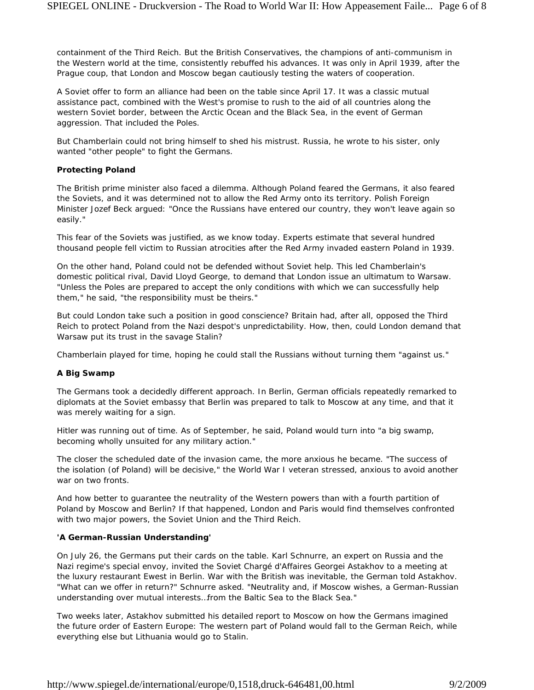containment of the Third Reich. But the British Conservatives, the champions of anti-communism in the Western world at the time, consistently rebuffed his advances. It was only in April 1939, after the Prague coup, that London and Moscow began cautiously testing the waters of cooperation.

A Soviet offer to form an alliance had been on the table since April 17. It was a classic mutual assistance pact, combined with the West's promise to rush to the aid of all countries along the western Soviet border, between the Arctic Ocean and the Black Sea, in the event of German aggression. That included the Poles.

But Chamberlain could not bring himself to shed his mistrust. Russia, he wrote to his sister, only wanted "other people" to fight the Germans.

#### **Protecting Poland**

The British prime minister also faced a dilemma. Although Poland feared the Germans, it also feared the Soviets, and it was determined not to allow the Red Army onto its territory. Polish Foreign Minister Jozef Beck argued: "Once the Russians have entered our country, they won't leave again so easily."

This fear of the Soviets was justified, as we know today. Experts estimate that several hundred thousand people fell victim to Russian atrocities after the Red Army invaded eastern Poland in 1939.

On the other hand, Poland could not be defended without Soviet help. This led Chamberlain's domestic political rival, David Lloyd George, to demand that London issue an ultimatum to Warsaw. "Unless the Poles are prepared to accept the only conditions with which we can successfully help them," he said, "the responsibility must be theirs."

But could London take such a position in good conscience? Britain had, after all, opposed the Third Reich to protect Poland from the Nazi despot's unpredictability. How, then, could London demand that Warsaw put its trust in the savage Stalin?

Chamberlain played for time, hoping he could stall the Russians without turning them "against us."

# **A Big Swamp**

The Germans took a decidedly different approach. In Berlin, German officials repeatedly remarked to diplomats at the Soviet embassy that Berlin was prepared to talk to Moscow at any time, and that it was merely waiting for a sign.

Hitler was running out of time. As of September, he said, Poland would turn into "a big swamp, becoming wholly unsuited for any military action."

The closer the scheduled date of the invasion came, the more anxious he became. "The success of the isolation (of Poland) will be decisive," the World War I veteran stressed, anxious to avoid another war on two fronts.

And how better to guarantee the neutrality of the Western powers than with a fourth partition of Poland by Moscow and Berlin? If that happened, London and Paris would find themselves confronted with two major powers, the Soviet Union and the Third Reich.

# **'A German-Russian Understanding'**

On July 26, the Germans put their cards on the table. Karl Schnurre, an expert on Russia and the Nazi regime's special envoy, invited the Soviet Chargé d'Affaires Georgei Astakhov to a meeting at the luxury restaurant Ewest in Berlin. War with the British was inevitable, the German told Astakhov. "What can we offer in return?" Schnurre asked. "Neutrality and, if Moscow wishes, a German-Russian understanding over mutual interests…from the Baltic Sea to the Black Sea."

Two weeks later, Astakhov submitted his detailed report to Moscow on how the Germans imagined the future order of Eastern Europe: The western part of Poland would fall to the German Reich, while everything else but Lithuania would go to Stalin.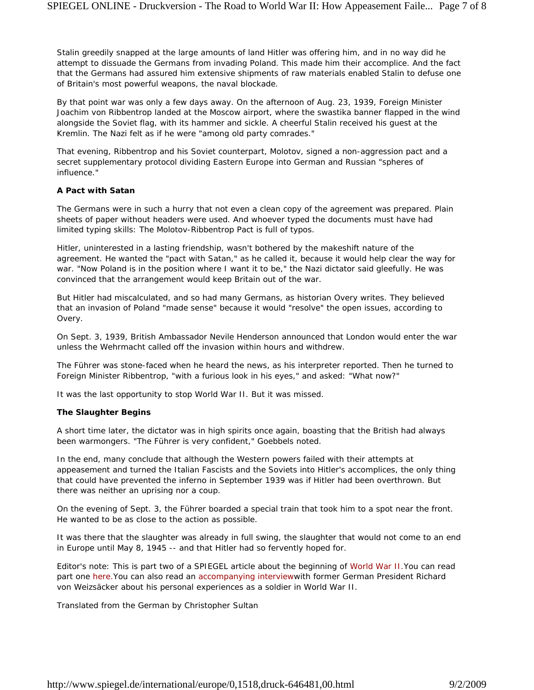Stalin greedily snapped at the large amounts of land Hitler was offering him, and in no way did he attempt to dissuade the Germans from invading Poland. This made him their accomplice. And the fact that the Germans had assured him extensive shipments of raw materials enabled Stalin to defuse one of Britain's most powerful weapons, the naval blockade.

By that point war was only a few days away. On the afternoon of Aug. 23, 1939, Foreign Minister Joachim von Ribbentrop landed at the Moscow airport, where the swastika banner flapped in the wind alongside the Soviet flag, with its hammer and sickle. A cheerful Stalin received his guest at the Kremlin. The Nazi felt as if he were "among old party comrades."

That evening, Ribbentrop and his Soviet counterpart, Molotov, signed a non-aggression pact and a secret supplementary protocol dividing Eastern Europe into German and Russian "spheres of influence."

## **A Pact with Satan**

The Germans were in such a hurry that not even a clean copy of the agreement was prepared. Plain sheets of paper without headers were used. And whoever typed the documents must have had limited typing skills: The Molotov-Ribbentrop Pact is full of typos.

Hitler, uninterested in a lasting friendship, wasn't bothered by the makeshift nature of the agreement. He wanted the "pact with Satan," as he called it, because it would help clear the way for war. "Now Poland is in the position where I want it to be," the Nazi dictator said gleefully. He was convinced that the arrangement would keep Britain out of the war.

But Hitler had miscalculated, and so had many Germans, as historian Overy writes. They believed that an invasion of Poland "made sense" because it would "resolve" the open issues, according to Overy.

On Sept. 3, 1939, British Ambassador Nevile Henderson announced that London would enter the war unless the Wehrmacht called off the invasion within hours and withdrew.

The Führer was stone-faced when he heard the news, as his interpreter reported. Then he turned to Foreign Minister Ribbentrop, "with a furious look in his eyes," and asked: "What now?"

It was the last opportunity to stop World War II. But it was missed.

#### **The Slaughter Begins**

A short time later, the dictator was in high spirits once again, boasting that the British had always been warmongers. "The Führer is very confident," Goebbels noted.

In the end, many conclude that although the Western powers failed with their attempts at appeasement and turned the Italian Fascists and the Soviets into Hitler's accomplices, the only thing that could have prevented the inferno in September 1939 was if Hitler had been overthrown. But there was neither an uprising nor a coup.

On the evening of Sept. 3, the Führer boarded a special train that took him to a spot near the front. He wanted to be as close to the action as possible.

It was there that the slaughter was already in full swing, the slaughter that would not come to an end in Europe until May 8, 1945 -- and that Hitler had so fervently hoped for.

*Editor's note: This is part two of a SPIEGEL article about the beginning of World War II.You can read part one here.You can also read an accompanying interviewwith former German President Richard von Weizsäcker about his personal experiences as a soldier in World War II.*

*Translated from the German by Christopher Sultan*